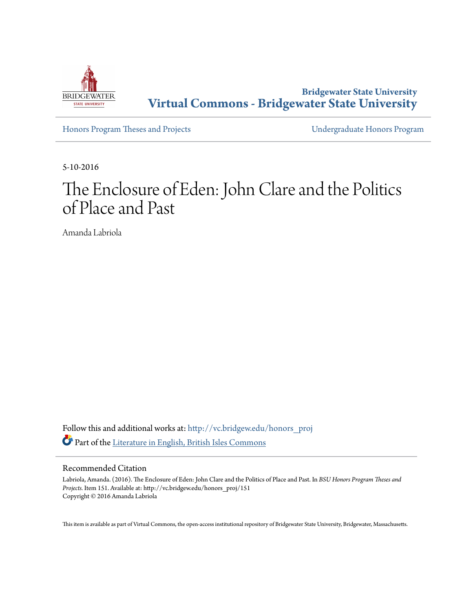

**Bridgewater State University [Virtual Commons - Bridgewater State University](http://vc.bridgew.edu?utm_source=vc.bridgew.edu%2Fhonors_proj%2F151&utm_medium=PDF&utm_campaign=PDFCoverPages)**

[Honors Program Theses and Projects](http://vc.bridgew.edu/honors_proj?utm_source=vc.bridgew.edu%2Fhonors_proj%2F151&utm_medium=PDF&utm_campaign=PDFCoverPages) [Undergraduate Honors Program](http://vc.bridgew.edu/honors?utm_source=vc.bridgew.edu%2Fhonors_proj%2F151&utm_medium=PDF&utm_campaign=PDFCoverPages)

5-10-2016

## The Enclosure of Eden: John Clare and the Politics of Place and Past

Amanda Labriola

Follow this and additional works at: [http://vc.bridgew.edu/honors\\_proj](http://vc.bridgew.edu/honors_proj?utm_source=vc.bridgew.edu%2Fhonors_proj%2F151&utm_medium=PDF&utm_campaign=PDFCoverPages) Part of the [Literature in English, British Isles Commons](http://network.bepress.com/hgg/discipline/456?utm_source=vc.bridgew.edu%2Fhonors_proj%2F151&utm_medium=PDF&utm_campaign=PDFCoverPages)

## Recommended Citation

Labriola, Amanda. (2016). The Enclosure of Eden: John Clare and the Politics of Place and Past. In *BSU Honors Program Theses and Projects.* Item 151. Available at: http://vc.bridgew.edu/honors\_proj/151 Copyright © 2016 Amanda Labriola

This item is available as part of Virtual Commons, the open-access institutional repository of Bridgewater State University, Bridgewater, Massachusetts.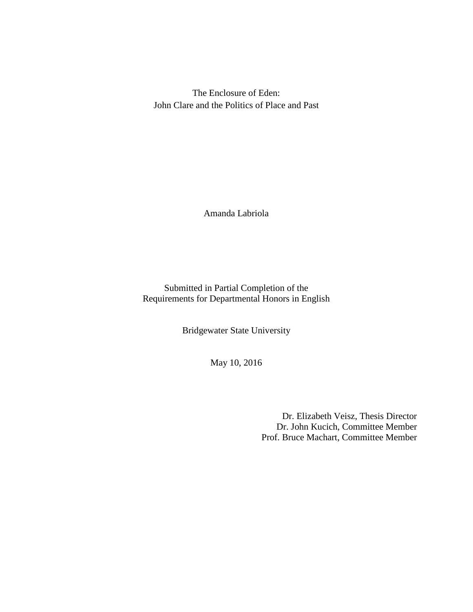The Enclosure of Eden: John Clare and the Politics of Place and Past

Amanda Labriola

Submitted in Partial Completion of the Requirements for Departmental Honors in English

Bridgewater State University

May 10, 2016

Dr. Elizabeth Veisz, Thesis Director Dr. John Kucich, Committee Member Prof. Bruce Machart, Committee Member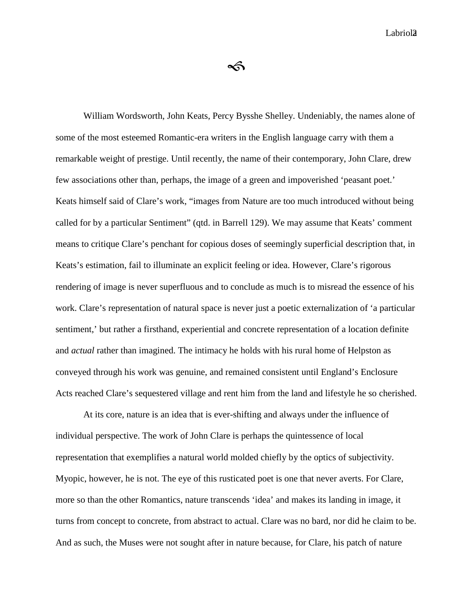ৰ্ক

William Wordsworth, John Keats, Percy Bysshe Shelley. Undeniably, the names alone of some of the most esteemed Romantic-era writers in the English language carry with them a remarkable weight of prestige. Until recently, the name of their contemporary, John Clare, drew few associations other than, perhaps, the image of a green and impoverished 'peasant poet.' Keats himself said of Clare's work, "images from Nature are too much introduced without being called for by a particular Sentiment" (qtd. in Barrell 129). We may assume that Keats' comment means to critique Clare's penchant for copious doses of seemingly superficial description that, in Keats's estimation, fail to illuminate an explicit feeling or idea. However, Clare's rigorous rendering of image is never superfluous and to conclude as much is to misread the essence of his work. Clare's representation of natural space is never just a poetic externalization of 'a particular sentiment,' but rather a firsthand, experiential and concrete representation of a location definite and *actual* rather than imagined. The intimacy he holds with his rural home of Helpston as conveyed through his work was genuine, and remained consistent until England's Enclosure Acts reached Clare's sequestered village and rent him from the land and lifestyle he so cherished.

At its core, nature is an idea that is ever-shifting and always under the influence of individual perspective. The work of John Clare is perhaps the quintessence of local representation that exemplifies a natural world molded chiefly by the optics of subjectivity. Myopic, however, he is not. The eye of this rusticated poet is one that never averts. For Clare, more so than the other Romantics, nature transcends 'idea' and makes its landing in image, it turns from concept to concrete, from abstract to actual. Clare was no bard, nor did he claim to be. And as such, the Muses were not sought after in nature because, for Clare, his patch of nature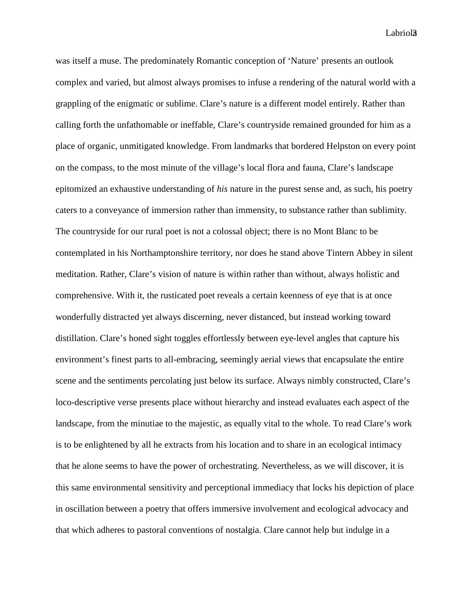Labriol<sub>3</sub>

was itself a muse. The predominately Romantic conception of 'Nature' presents an outlook complex and varied, but almost always promises to infuse a rendering of the natural world with a grappling of the enigmatic or sublime. Clare's nature is a different model entirely. Rather than calling forth the unfathomable or ineffable, Clare's countryside remained grounded for him as a place of organic, unmitigated knowledge. From landmarks that bordered Helpston on every point on the compass, to the most minute of the village's local flora and fauna, Clare's landscape epitomized an exhaustive understanding of *his* nature in the purest sense and, as such, his poetry caters to a conveyance of immersion rather than immensity, to substance rather than sublimity. The countryside for our rural poet is not a colossal object; there is no Mont Blanc to be contemplated in his Northamptonshire territory, nor does he stand above Tintern Abbey in silent meditation. Rather, Clare's vision of nature is within rather than without, always holistic and comprehensive. With it, the rusticated poet reveals a certain keenness of eye that is at once wonderfully distracted yet always discerning, never distanced, but instead working toward distillation. Clare's honed sight toggles effortlessly between eye-level angles that capture his environment's finest parts to all-embracing, seemingly aerial views that encapsulate the entire scene and the sentiments percolating just below its surface. Always nimbly constructed, Clare's loco-descriptive verse presents place without hierarchy and instead evaluates each aspect of the landscape, from the minutiae to the majestic, as equally vital to the whole. To read Clare's work is to be enlightened by all he extracts from his location and to share in an ecological intimacy that he alone seems to have the power of orchestrating. Nevertheless, as we will discover, it is this same environmental sensitivity and perceptional immediacy that locks his depiction of place in oscillation between a poetry that offers immersive involvement and ecological advocacy and that which adheres to pastoral conventions of nostalgia. Clare cannot help but indulge in a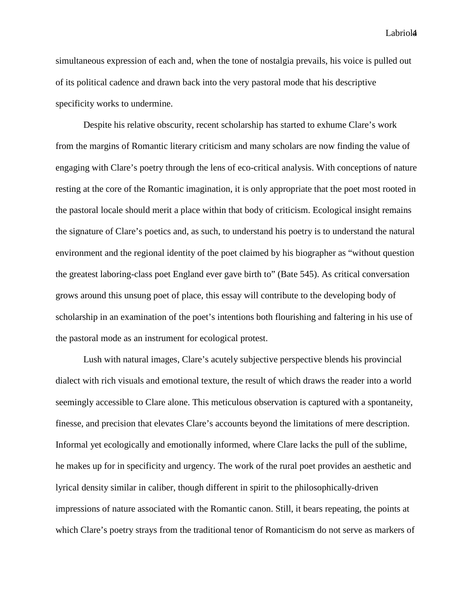Labriol4

simultaneous expression of each and, when the tone of nostalgia prevails, his voice is pulled out of its political cadence and drawn back into the very pastoral mode that his descriptive specificity works to undermine.

Despite his relative obscurity, recent scholarship has started to exhume Clare's work from the margins of Romantic literary criticism and many scholars are now finding the value of engaging with Clare's poetry through the lens of eco-critical analysis. With conceptions of nature resting at the core of the Romantic imagination, it is only appropriate that the poet most rooted in the pastoral locale should merit a place within that body of criticism. Ecological insight remains the signature of Clare's poetics and, as such, to understand his poetry is to understand the natural environment and the regional identity of the poet claimed by his biographer as "without question the greatest laboring-class poet England ever gave birth to" (Bate 545). As critical conversation grows around this unsung poet of place, this essay will contribute to the developing body of scholarship in an examination of the poet's intentions both flourishing and faltering in his use of the pastoral mode as an instrument for ecological protest.

Lush with natural images, Clare's acutely subjective perspective blends his provincial dialect with rich visuals and emotional texture, the result of which draws the reader into a world seemingly accessible to Clare alone. This meticulous observation is captured with a spontaneity, finesse, and precision that elevates Clare's accounts beyond the limitations of mere description. Informal yet ecologically and emotionally informed, where Clare lacks the pull of the sublime, he makes up for in specificity and urgency. The work of the rural poet provides an aesthetic and lyrical density similar in caliber, though different in spirit to the philosophically-driven impressions of nature associated with the Romantic canon. Still, it bears repeating, the points at which Clare's poetry strays from the traditional tenor of Romanticism do not serve as markers of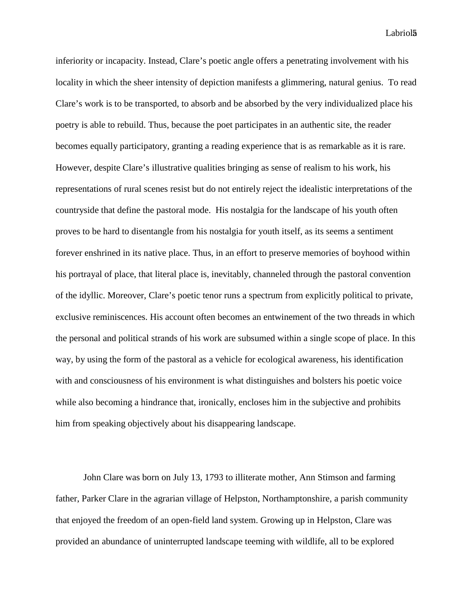Labriol<sub>5</sub>

inferiority or incapacity. Instead, Clare's poetic angle offers a penetrating involvement with his locality in which the sheer intensity of depiction manifests a glimmering, natural genius. To read Clare's work is to be transported, to absorb and be absorbed by the very individualized place his poetry is able to rebuild. Thus, because the poet participates in an authentic site, the reader becomes equally participatory, granting a reading experience that is as remarkable as it is rare. However, despite Clare's illustrative qualities bringing as sense of realism to his work, his representations of rural scenes resist but do not entirely reject the idealistic interpretations of the countryside that define the pastoral mode. His nostalgia for the landscape of his youth often proves to be hard to disentangle from his nostalgia for youth itself, as its seems a sentiment forever enshrined in its native place. Thus, in an effort to preserve memories of boyhood within his portrayal of place, that literal place is, inevitably, channeled through the pastoral convention of the idyllic. Moreover, Clare's poetic tenor runs a spectrum from explicitly political to private, exclusive reminiscences. His account often becomes an entwinement of the two threads in which the personal and political strands of his work are subsumed within a single scope of place. In this way, by using the form of the pastoral as a vehicle for ecological awareness, his identification with and consciousness of his environment is what distinguishes and bolsters his poetic voice while also becoming a hindrance that, ironically, encloses him in the subjective and prohibits him from speaking objectively about his disappearing landscape.

John Clare was born on July 13, 1793 to illiterate mother, Ann Stimson and farming father, Parker Clare in the agrarian village of Helpston, Northamptonshire, a parish community that enjoyed the freedom of an open-field land system. Growing up in Helpston, Clare was provided an abundance of uninterrupted landscape teeming with wildlife, all to be explored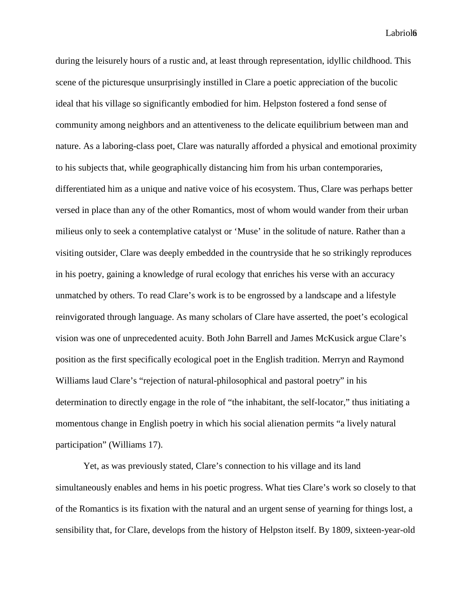Labriol6

during the leisurely hours of a rustic and, at least through representation, idyllic childhood. This scene of the picturesque unsurprisingly instilled in Clare a poetic appreciation of the bucolic ideal that his village so significantly embodied for him. Helpston fostered a fond sense of community among neighbors and an attentiveness to the delicate equilibrium between man and nature. As a laboring-class poet, Clare was naturally afforded a physical and emotional proximity to his subjects that, while geographically distancing him from his urban contemporaries, differentiated him as a unique and native voice of his ecosystem. Thus, Clare was perhaps better versed in place than any of the other Romantics, most of whom would wander from their urban milieus only to seek a contemplative catalyst or 'Muse' in the solitude of nature. Rather than a visiting outsider, Clare was deeply embedded in the countryside that he so strikingly reproduces in his poetry, gaining a knowledge of rural ecology that enriches his verse with an accuracy unmatched by others. To read Clare's work is to be engrossed by a landscape and a lifestyle reinvigorated through language. As many scholars of Clare have asserted, the poet's ecological vision was one of unprecedented acuity. Both John Barrell and James McKusick argue Clare's position as the first specifically ecological poet in the English tradition. Merryn and Raymond Williams laud Clare's "rejection of natural-philosophical and pastoral poetry" in his determination to directly engage in the role of "the inhabitant, the self-locator," thus initiating a momentous change in English poetry in which his social alienation permits "a lively natural participation" (Williams 17).

Yet, as was previously stated, Clare's connection to his village and its land simultaneously enables and hems in his poetic progress. What ties Clare's work so closely to that of the Romantics is its fixation with the natural and an urgent sense of yearning for things lost, a sensibility that, for Clare, develops from the history of Helpston itself. By 1809, sixteen-year-old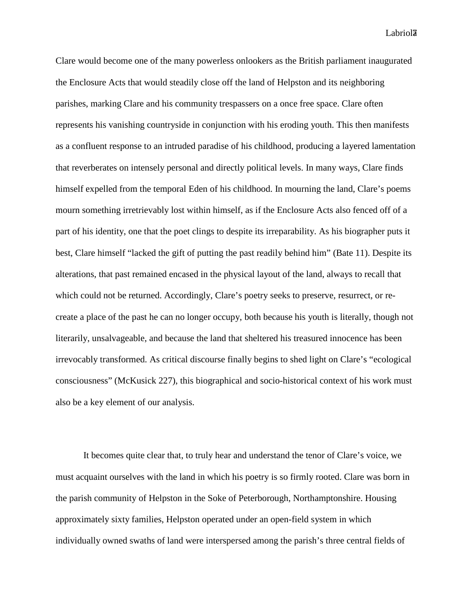Labriol<sup>7</sup>

Clare would become one of the many powerless onlookers as the British parliament inaugurated the Enclosure Acts that would steadily close off the land of Helpston and its neighboring parishes, marking Clare and his community trespassers on a once free space. Clare often represents his vanishing countryside in conjunction with his eroding youth. This then manifests as a confluent response to an intruded paradise of his childhood, producing a layered lamentation that reverberates on intensely personal and directly political levels. In many ways, Clare finds himself expelled from the temporal Eden of his childhood. In mourning the land, Clare's poems mourn something irretrievably lost within himself, as if the Enclosure Acts also fenced off of a part of his identity, one that the poet clings to despite its irreparability. As his biographer puts it best, Clare himself "lacked the gift of putting the past readily behind him" (Bate 11). Despite its alterations, that past remained encased in the physical layout of the land, always to recall that which could not be returned. Accordingly, Clare's poetry seeks to preserve, resurrect, or recreate a place of the past he can no longer occupy, both because his youth is literally, though not literarily, unsalvageable, and because the land that sheltered his treasured innocence has been irrevocably transformed. As critical discourse finally begins to shed light on Clare's "ecological consciousness" (McKusick 227), this biographical and socio-historical context of his work must also be a key element of our analysis.

It becomes quite clear that, to truly hear and understand the tenor of Clare's voice, we must acquaint ourselves with the land in which his poetry is so firmly rooted. Clare was born in the parish community of Helpston in the Soke of Peterborough, Northamptonshire. Housing approximately sixty families, Helpston operated under an open-field system in which individually owned swaths of land were interspersed among the parish's three central fields of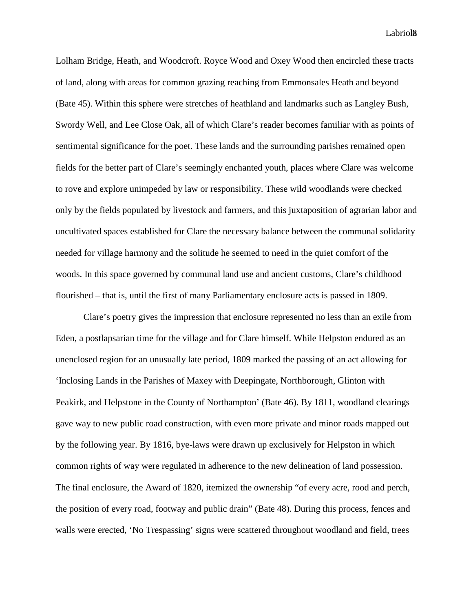Labriol<sub>8</sub>

Lolham Bridge, Heath, and Woodcroft. Royce Wood and Oxey Wood then encircled these tracts of land, along with areas for common grazing reaching from Emmonsales Heath and beyond (Bate 45). Within this sphere were stretches of heathland and landmarks such as Langley Bush, Swordy Well, and Lee Close Oak, all of which Clare's reader becomes familiar with as points of sentimental significance for the poet. These lands and the surrounding parishes remained open fields for the better part of Clare's seemingly enchanted youth, places where Clare was welcome to rove and explore unimpeded by law or responsibility. These wild woodlands were checked only by the fields populated by livestock and farmers, and this juxtaposition of agrarian labor and uncultivated spaces established for Clare the necessary balance between the communal solidarity needed for village harmony and the solitude he seemed to need in the quiet comfort of the woods. In this space governed by communal land use and ancient customs, Clare's childhood flourished – that is, until the first of many Parliamentary enclosure acts is passed in 1809.

Clare's poetry gives the impression that enclosure represented no less than an exile from Eden, a postlapsarian time for the village and for Clare himself. While Helpston endured as an unenclosed region for an unusually late period, 1809 marked the passing of an act allowing for 'Inclosing Lands in the Parishes of Maxey with Deepingate, Northborough, Glinton with Peakirk, and Helpstone in the County of Northampton' (Bate 46). By 1811, woodland clearings gave way to new public road construction, with even more private and minor roads mapped out by the following year. By 1816, bye-laws were drawn up exclusively for Helpston in which common rights of way were regulated in adherence to the new delineation of land possession. The final enclosure, the Award of 1820, itemized the ownership "of every acre, rood and perch, the position of every road, footway and public drain" (Bate 48). During this process, fences and walls were erected, 'No Trespassing' signs were scattered throughout woodland and field, trees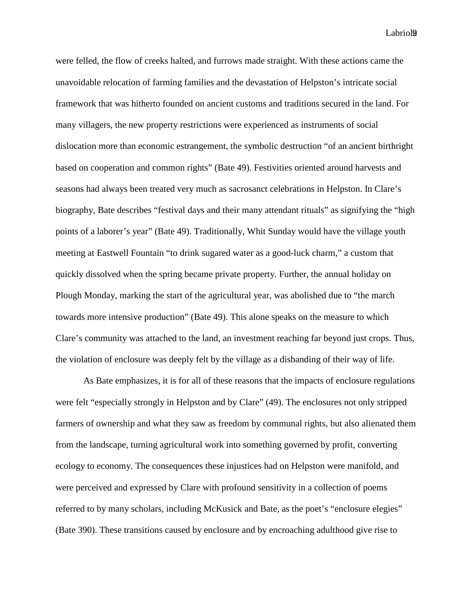Labriol<sub>9</sub>

were felled, the flow of creeks halted, and furrows made straight. With these actions came the unavoidable relocation of farming families and the devastation of Helpston's intricate social framework that was hitherto founded on ancient customs and traditions secured in the land. For many villagers, the new property restrictions were experienced as instruments of social dislocation more than economic estrangement, the symbolic destruction "of an ancient birthright based on cooperation and common rights" (Bate 49). Festivities oriented around harvests and seasons had always been treated very much as sacrosanct celebrations in Helpston. In Clare's biography, Bate describes "festival days and their many attendant rituals" as signifying the "high points of a laborer's year" (Bate 49). Traditionally, Whit Sunday would have the village youth meeting at Eastwell Fountain "to drink sugared water as a good-luck charm," a custom that quickly dissolved when the spring became private property. Further, the annual holiday on Plough Monday, marking the start of the agricultural year, was abolished due to "the march towards more intensive production" (Bate 49). This alone speaks on the measure to which Clare's community was attached to the land, an investment reaching far beyond just crops. Thus, the violation of enclosure was deeply felt by the village as a disbanding of their way of life.

As Bate emphasizes, it is for all of these reasons that the impacts of enclosure regulations were felt "especially strongly in Helpston and by Clare" (49). The enclosures not only stripped farmers of ownership and what they saw as freedom by communal rights, but also alienated them from the landscape, turning agricultural work into something governed by profit, converting ecology to economy. The consequences these injustices had on Helpston were manifold, and were perceived and expressed by Clare with profound sensitivity in a collection of poems referred to by many scholars, including McKusick and Bate, as the poet's "enclosure elegies" (Bate 390). These transitions caused by enclosure and by encroaching adulthood give rise to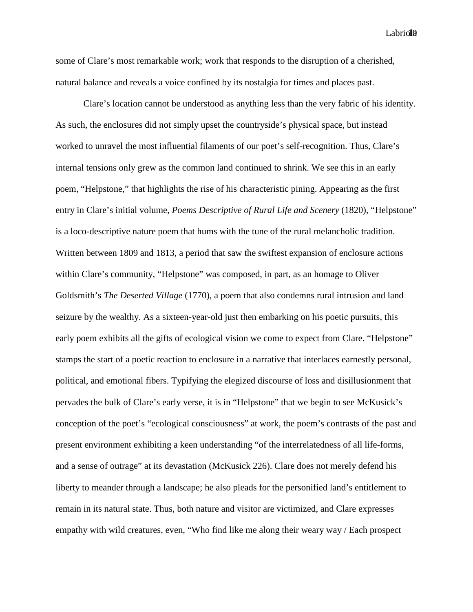Labriol<sup>1</sup>

some of Clare's most remarkable work; work that responds to the disruption of a cherished, natural balance and reveals a voice confined by its nostalgia for times and places past.

Clare's location cannot be understood as anything less than the very fabric of his identity. As such, the enclosures did not simply upset the countryside's physical space, but instead worked to unravel the most influential filaments of our poet's self-recognition. Thus, Clare's internal tensions only grew as the common land continued to shrink. We see this in an early poem, "Helpstone," that highlights the rise of his characteristic pining. Appearing as the first entry in Clare's initial volume, *Poems Descriptive of Rural Life and Scenery* (1820), "Helpstone" is a loco-descriptive nature poem that hums with the tune of the rural melancholic tradition. Written between 1809 and 1813, a period that saw the swiftest expansion of enclosure actions within Clare's community, "Helpstone" was composed, in part, as an homage to Oliver Goldsmith's *The Deserted Village* (1770), a poem that also condemns rural intrusion and land seizure by the wealthy. As a sixteen-year-old just then embarking on his poetic pursuits, this early poem exhibits all the gifts of ecological vision we come to expect from Clare. "Helpstone" stamps the start of a poetic reaction to enclosure in a narrative that interlaces earnestly personal, political, and emotional fibers. Typifying the elegized discourse of loss and disillusionment that pervades the bulk of Clare's early verse, it is in "Helpstone" that we begin to see McKusick's conception of the poet's "ecological consciousness" at work, the poem's contrasts of the past and present environment exhibiting a keen understanding "of the interrelatedness of all life-forms, and a sense of outrage" at its devastation (McKusick 226). Clare does not merely defend his liberty to meander through a landscape; he also pleads for the personified land's entitlement to remain in its natural state. Thus, both nature and visitor are victimized, and Clare expresses empathy with wild creatures, even, "Who find like me along their weary way / Each prospect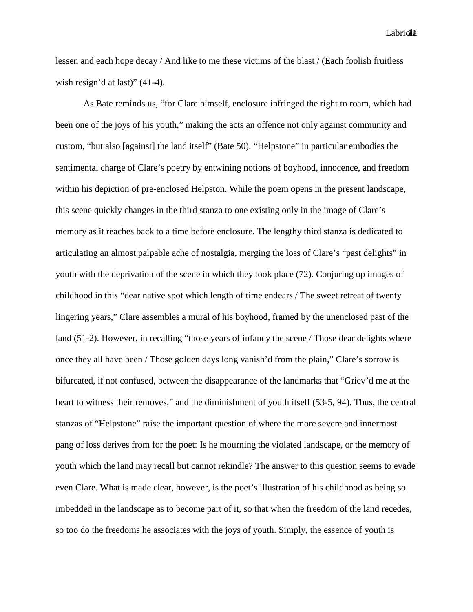Labriolla

lessen and each hope decay / And like to me these victims of the blast / (Each foolish fruitless wish resign'd at last)" (41-4).

As Bate reminds us, "for Clare himself, enclosure infringed the right to roam, which had been one of the joys of his youth," making the acts an offence not only against community and custom, "but also [against] the land itself" (Bate 50). "Helpstone" in particular embodies the sentimental charge of Clare's poetry by entwining notions of boyhood, innocence, and freedom within his depiction of pre-enclosed Helpston. While the poem opens in the present landscape, this scene quickly changes in the third stanza to one existing only in the image of Clare's memory as it reaches back to a time before enclosure. The lengthy third stanza is dedicated to articulating an almost palpable ache of nostalgia, merging the loss of Clare's "past delights" in youth with the deprivation of the scene in which they took place (72). Conjuring up images of childhood in this "dear native spot which length of time endears / The sweet retreat of twenty lingering years," Clare assembles a mural of his boyhood, framed by the unenclosed past of the land (51-2). However, in recalling "those years of infancy the scene / Those dear delights where once they all have been / Those golden days long vanish'd from the plain," Clare's sorrow is bifurcated, if not confused, between the disappearance of the landmarks that "Griev'd me at the heart to witness their removes," and the diminishment of youth itself (53-5, 94). Thus, the central stanzas of "Helpstone" raise the important question of where the more severe and innermost pang of loss derives from for the poet: Is he mourning the violated landscape, or the memory of youth which the land may recall but cannot rekindle? The answer to this question seems to evade even Clare. What is made clear, however, is the poet's illustration of his childhood as being so imbedded in the landscape as to become part of it, so that when the freedom of the land recedes, so too do the freedoms he associates with the joys of youth. Simply, the essence of youth is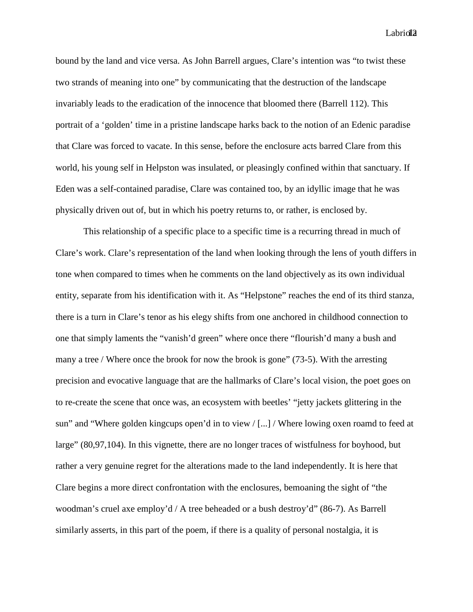Labriol<sup>1</sup>2

bound by the land and vice versa. As John Barrell argues, Clare's intention was "to twist these two strands of meaning into one" by communicating that the destruction of the landscape invariably leads to the eradication of the innocence that bloomed there (Barrell 112). This portrait of a 'golden' time in a pristine landscape harks back to the notion of an Edenic paradise that Clare was forced to vacate. In this sense, before the enclosure acts barred Clare from this world, his young self in Helpston was insulated, or pleasingly confined within that sanctuary. If Eden was a self-contained paradise, Clare was contained too, by an idyllic image that he was physically driven out of, but in which his poetry returns to, or rather, is enclosed by.

This relationship of a specific place to a specific time is a recurring thread in much of Clare's work. Clare's representation of the land when looking through the lens of youth differs in tone when compared to times when he comments on the land objectively as its own individual entity, separate from his identification with it. As "Helpstone" reaches the end of its third stanza, there is a turn in Clare's tenor as his elegy shifts from one anchored in childhood connection to one that simply laments the "vanish'd green" where once there "flourish'd many a bush and many a tree / Where once the brook for now the brook is gone" (73-5). With the arresting precision and evocative language that are the hallmarks of Clare's local vision, the poet goes on to re-create the scene that once was, an ecosystem with beetles' "jetty jackets glittering in the sun" and "Where golden kingcups open'd in to view / [...] / Where lowing oxen roamd to feed at large" (80,97,104). In this vignette, there are no longer traces of wistfulness for boyhood, but rather a very genuine regret for the alterations made to the land independently. It is here that Clare begins a more direct confrontation with the enclosures, bemoaning the sight of "the woodman's cruel axe employ'd / A tree beheaded or a bush destroy'd" (86-7). As Barrell similarly asserts, in this part of the poem, if there is a quality of personal nostalgia, it is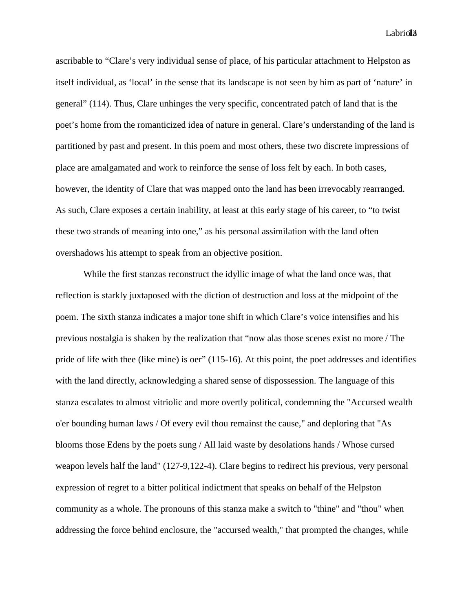Labriol<sub>1</sub>3

ascribable to "Clare's very individual sense of place, of his particular attachment to Helpston as itself individual, as 'local' in the sense that its landscape is not seen by him as part of 'nature' in general" (114). Thus, Clare unhinges the very specific, concentrated patch of land that is the poet's home from the romanticized idea of nature in general. Clare's understanding of the land is partitioned by past and present. In this poem and most others, these two discrete impressions of place are amalgamated and work to reinforce the sense of loss felt by each. In both cases, however, the identity of Clare that was mapped onto the land has been irrevocably rearranged. As such, Clare exposes a certain inability, at least at this early stage of his career, to "to twist these two strands of meaning into one," as his personal assimilation with the land often overshadows his attempt to speak from an objective position.

While the first stanzas reconstruct the idyllic image of what the land once was, that reflection is starkly juxtaposed with the diction of destruction and loss at the midpoint of the poem. The sixth stanza indicates a major tone shift in which Clare's voice intensifies and his previous nostalgia is shaken by the realization that "now alas those scenes exist no more / The pride of life with thee (like mine) is oer" (115-16). At this point, the poet addresses and identifies with the land directly, acknowledging a shared sense of dispossession. The language of this stanza escalates to almost vitriolic and more overtly political, condemning the "Accursed wealth o'er bounding human laws / Of every evil thou remainst the cause," and deploring that "As blooms those Edens by the poets sung / All laid waste by desolations hands / Whose cursed weapon levels half the land" (127-9,122-4). Clare begins to redirect his previous, very personal expression of regret to a bitter political indictment that speaks on behalf of the Helpston community as a whole. The pronouns of this stanza make a switch to "thine" and "thou" when addressing the force behind enclosure, the "accursed wealth," that prompted the changes, while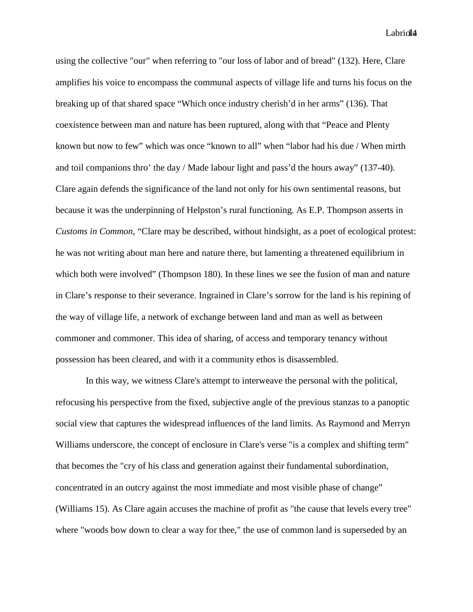using the collective "our" when referring to "our loss of labor and of bread" (132). Here, Clare amplifies his voice to encompass the communal aspects of village life and turns his focus on the breaking up of that shared space "Which once industry cherish'd in her arms" (136). That coexistence between man and nature has been ruptured, along with that "Peace and Plenty known but now to few" which was once "known to all" when "labor had his due / When mirth and toil companions thro' the day / Made labour light and pass'd the hours away" (137-40). Clare again defends the significance of the land not only for his own sentimental reasons, but because it was the underpinning of Helpston's rural functioning. As E.P. Thompson asserts in *Customs in Common*, "Clare may be described, without hindsight, as a poet of ecological protest: he was not writing about man here and nature there, but lamenting a threatened equilibrium in which both were involved" (Thompson 180). In these lines we see the fusion of man and nature in Clare's response to their severance. Ingrained in Clare's sorrow for the land is his repining of the way of village life, a network of exchange between land and man as well as between commoner and commoner. This idea of sharing, of access and temporary tenancy without possession has been cleared, and with it a community ethos is disassembled.

In this way, we witness Clare's attempt to interweave the personal with the political, refocusing his perspective from the fixed, subjective angle of the previous stanzas to a panoptic social view that captures the widespread influences of the land limits. As Raymond and Merryn Williams underscore, the concept of enclosure in Clare's verse "is a complex and shifting term" that becomes the "cry of his class and generation against their fundamental subordination, concentrated in an outcry against the most immediate and most visible phase of change" (Williams 15). As Clare again accuses the machine of profit as "the cause that levels every tree" where "woods bow down to clear a way for thee," the use of common land is superseded by an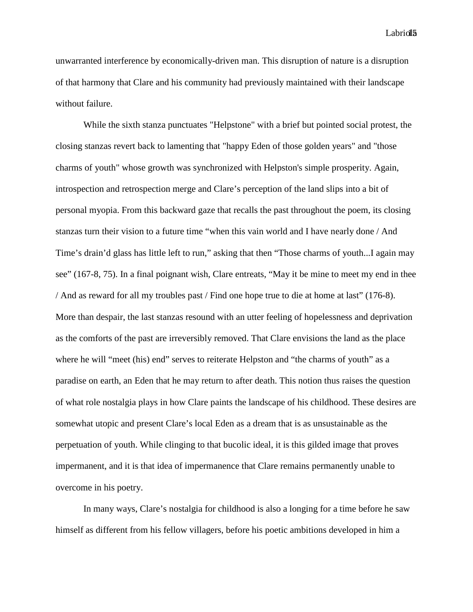Labriol<sub>15</sub>

unwarranted interference by economically-driven man. This disruption of nature is a disruption of that harmony that Clare and his community had previously maintained with their landscape without failure.

While the sixth stanza punctuates "Helpstone" with a brief but pointed social protest, the closing stanzas revert back to lamenting that "happy Eden of those golden years" and "those charms of youth" whose growth was synchronized with Helpston's simple prosperity. Again, introspection and retrospection merge and Clare's perception of the land slips into a bit of personal myopia. From this backward gaze that recalls the past throughout the poem, its closing stanzas turn their vision to a future time "when this vain world and I have nearly done / And Time's drain'd glass has little left to run," asking that then "Those charms of youth...I again may see" (167-8, 75). In a final poignant wish, Clare entreats, "May it be mine to meet my end in thee / And as reward for all my troubles past / Find one hope true to die at home at last" (176-8). More than despair, the last stanzas resound with an utter feeling of hopelessness and deprivation as the comforts of the past are irreversibly removed. That Clare envisions the land as the place where he will "meet (his) end" serves to reiterate Helpston and "the charms of youth" as a paradise on earth, an Eden that he may return to after death. This notion thus raises the question of what role nostalgia plays in how Clare paints the landscape of his childhood. These desires are somewhat utopic and present Clare's local Eden as a dream that is as unsustainable as the perpetuation of youth. While clinging to that bucolic ideal, it is this gilded image that proves impermanent, and it is that idea of impermanence that Clare remains permanently unable to overcome in his poetry.

In many ways, Clare's nostalgia for childhood is also a longing for a time before he saw himself as different from his fellow villagers, before his poetic ambitions developed in him a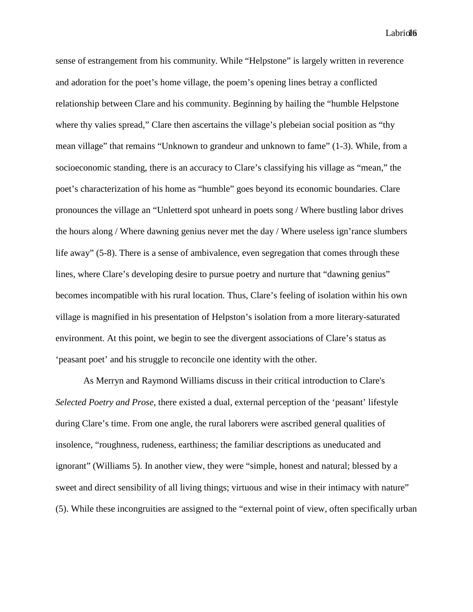Labriol<sup>16</sup>

sense of estrangement from his community. While "Helpstone" is largely written in reverence and adoration for the poet's home village, the poem's opening lines betray a conflicted relationship between Clare and his community. Beginning by hailing the "humble Helpstone where thy valies spread," Clare then ascertains the village's plebeian social position as "thy" mean village" that remains "Unknown to grandeur and unknown to fame" (1-3). While, from a socioeconomic standing, there is an accuracy to Clare's classifying his village as "mean," the poet's characterization of his home as "humble" goes beyond its economic boundaries. Clare pronounces the village an "Unletterd spot unheard in poets song / Where bustling labor drives the hours along / Where dawning genius never met the day / Where useless ign'rance slumbers life away" (5-8). There is a sense of ambivalence, even segregation that comes through these lines, where Clare's developing desire to pursue poetry and nurture that "dawning genius" becomes incompatible with his rural location. Thus, Clare's feeling of isolation within his own village is magnified in his presentation of Helpston's isolation from a more literary-saturated environment. At this point, we begin to see the divergent associations of Clare's status as 'peasant poet' and his struggle to reconcile one identity with the other.

As Merryn and Raymond Williams discuss in their critical introduction to Clare's *Selected Poetry and Prose*, there existed a dual, external perception of the 'peasant' lifestyle during Clare's time. From one angle, the rural laborers were ascribed general qualities of insolence, "roughness, rudeness, earthiness; the familiar descriptions as uneducated and ignorant" (Williams 5). In another view, they were "simple, honest and natural; blessed by a sweet and direct sensibility of all living things; virtuous and wise in their intimacy with nature" (5). While these incongruities are assigned to the "external point of view, often specifically urban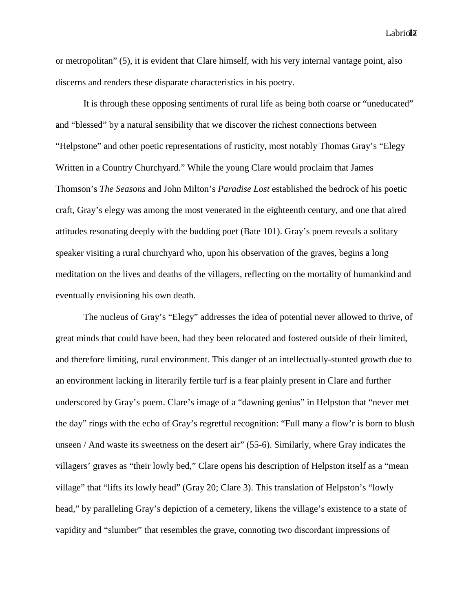Labrioll<sup>7</sup>

or metropolitan" (5), it is evident that Clare himself, with his very internal vantage point, also discerns and renders these disparate characteristics in his poetry.

It is through these opposing sentiments of rural life as being both coarse or "uneducated" and "blessed" by a natural sensibility that we discover the richest connections between "Helpstone" and other poetic representations of rusticity, most notably Thomas Gray's "Elegy Written in a Country Churchyard." While the young Clare would proclaim that James Thomson's *The Seasons* and John Milton's *Paradise Lost* established the bedrock of his poetic craft, Gray's elegy was among the most venerated in the eighteenth century, and one that aired attitudes resonating deeply with the budding poet (Bate 101). Gray's poem reveals a solitary speaker visiting a rural churchyard who, upon his observation of the graves, begins a long meditation on the lives and deaths of the villagers, reflecting on the mortality of humankind and eventually envisioning his own death.

The nucleus of Gray's "Elegy" addresses the idea of potential never allowed to thrive, of great minds that could have been, had they been relocated and fostered outside of their limited, and therefore limiting, rural environment. This danger of an intellectually-stunted growth due to an environment lacking in literarily fertile turf is a fear plainly present in Clare and further underscored by Gray's poem. Clare's image of a "dawning genius" in Helpston that "never met the day" rings with the echo of Gray's regretful recognition: "Full many a flow'r is born to blush unseen / And waste its sweetness on the desert air" (55-6). Similarly, where Gray indicates the villagers' graves as "their lowly bed," Clare opens his description of Helpston itself as a "mean village" that "lifts its lowly head" (Gray 20; Clare 3). This translation of Helpston's "lowly head," by paralleling Gray's depiction of a cemetery, likens the village's existence to a state of vapidity and "slumber" that resembles the grave, connoting two discordant impressions of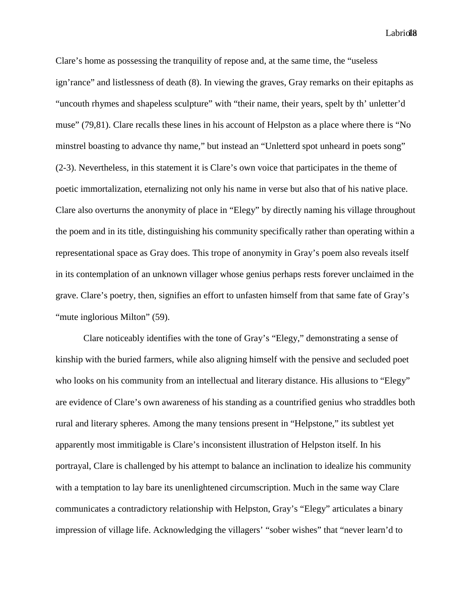Labriol<sup>18</sup>

Clare's home as possessing the tranquility of repose and, at the same time, the "useless ign'rance" and listlessness of death (8). In viewing the graves, Gray remarks on their epitaphs as "uncouth rhymes and shapeless sculpture" with "their name, their years, spelt by th' unletter'd muse" (79,81). Clare recalls these lines in his account of Helpston as a place where there is "No minstrel boasting to advance thy name," but instead an "Unletterd spot unheard in poets song" (2-3). Nevertheless, in this statement it is Clare's own voice that participates in the theme of poetic immortalization, eternalizing not only his name in verse but also that of his native place. Clare also overturns the anonymity of place in "Elegy" by directly naming his village throughout the poem and in its title, distinguishing his community specifically rather than operating within a representational space as Gray does. This trope of anonymity in Gray's poem also reveals itself in its contemplation of an unknown villager whose genius perhaps rests forever unclaimed in the grave. Clare's poetry, then, signifies an effort to unfasten himself from that same fate of Gray's "mute inglorious Milton" (59).

Clare noticeably identifies with the tone of Gray's "Elegy," demonstrating a sense of kinship with the buried farmers, while also aligning himself with the pensive and secluded poet who looks on his community from an intellectual and literary distance. His allusions to "Elegy" are evidence of Clare's own awareness of his standing as a countrified genius who straddles both rural and literary spheres. Among the many tensions present in "Helpstone," its subtlest yet apparently most immitigable is Clare's inconsistent illustration of Helpston itself. In his portrayal, Clare is challenged by his attempt to balance an inclination to idealize his community with a temptation to lay bare its unenlightened circumscription. Much in the same way Clare communicates a contradictory relationship with Helpston, Gray's "Elegy" articulates a binary impression of village life. Acknowledging the villagers' "sober wishes" that "never learn'd to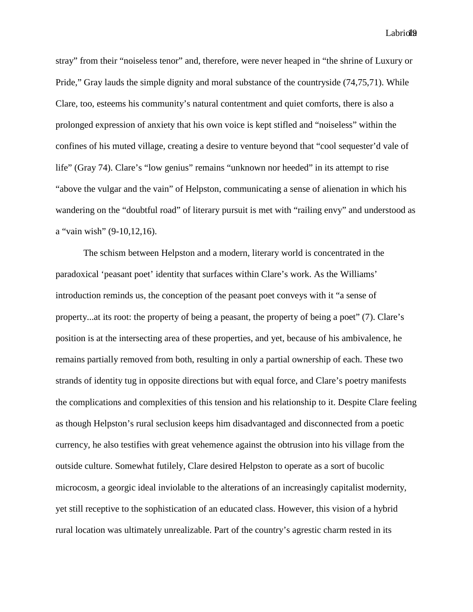Labriol<sup>19</sup>

stray" from their "noiseless tenor" and, therefore, were never heaped in "the shrine of Luxury or Pride," Gray lauds the simple dignity and moral substance of the countryside (74,75,71). While Clare, too, esteems his community's natural contentment and quiet comforts, there is also a prolonged expression of anxiety that his own voice is kept stifled and "noiseless" within the confines of his muted village, creating a desire to venture beyond that "cool sequester'd vale of life" (Gray 74). Clare's "low genius" remains "unknown nor heeded" in its attempt to rise "above the vulgar and the vain" of Helpston, communicating a sense of alienation in which his wandering on the "doubtful road" of literary pursuit is met with "railing envy" and understood as a "vain wish" (9-10,12,16).

The schism between Helpston and a modern, literary world is concentrated in the paradoxical 'peasant poet' identity that surfaces within Clare's work. As the Williams' introduction reminds us, the conception of the peasant poet conveys with it "a sense of property...at its root: the property of being a peasant, the property of being a poet" (7). Clare's position is at the intersecting area of these properties, and yet, because of his ambivalence, he remains partially removed from both, resulting in only a partial ownership of each. These two strands of identity tug in opposite directions but with equal force, and Clare's poetry manifests the complications and complexities of this tension and his relationship to it. Despite Clare feeling as though Helpston's rural seclusion keeps him disadvantaged and disconnected from a poetic currency, he also testifies with great vehemence against the obtrusion into his village from the outside culture. Somewhat futilely, Clare desired Helpston to operate as a sort of bucolic microcosm, a georgic ideal inviolable to the alterations of an increasingly capitalist modernity, yet still receptive to the sophistication of an educated class. However, this vision of a hybrid rural location was ultimately unrealizable. Part of the country's agrestic charm rested in its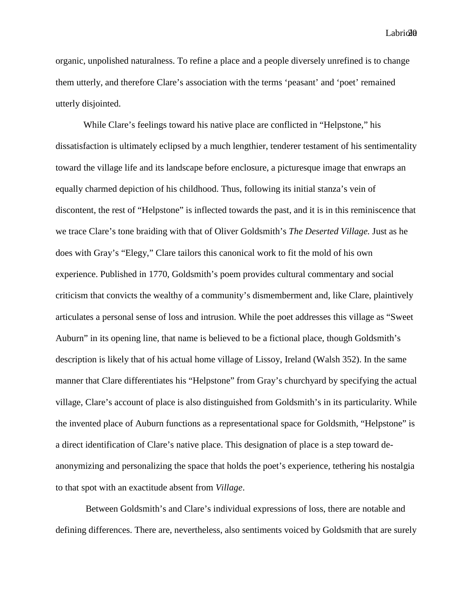$Labri@@$ 

organic, unpolished naturalness. To refine a place and a people diversely unrefined is to change them utterly, and therefore Clare's association with the terms 'peasant' and 'poet' remained utterly disjointed.

While Clare's feelings toward his native place are conflicted in "Helpstone," his dissatisfaction is ultimately eclipsed by a much lengthier, tenderer testament of his sentimentality toward the village life and its landscape before enclosure, a picturesque image that enwraps an equally charmed depiction of his childhood. Thus, following its initial stanza's vein of discontent, the rest of "Helpstone" is inflected towards the past, and it is in this reminiscence that we trace Clare's tone braiding with that of Oliver Goldsmith's *The Deserted Village.* Just as he does with Gray's "Elegy," Clare tailors this canonical work to fit the mold of his own experience. Published in 1770, Goldsmith's poem provides cultural commentary and social criticism that convicts the wealthy of a community's dismemberment and, like Clare, plaintively articulates a personal sense of loss and intrusion. While the poet addresses this village as "Sweet Auburn" in its opening line, that name is believed to be a fictional place, though Goldsmith's description is likely that of his actual home village of Lissoy, Ireland (Walsh 352). In the same manner that Clare differentiates his "Helpstone" from Gray's churchyard by specifying the actual village, Clare's account of place is also distinguished from Goldsmith's in its particularity. While the invented place of Auburn functions as a representational space for Goldsmith, "Helpstone" is a direct identification of Clare's native place. This designation of place is a step toward deanonymizing and personalizing the space that holds the poet's experience, tethering his nostalgia to that spot with an exactitude absent from *Village*.

Between Goldsmith's and Clare's individual expressions of loss, there are notable and defining differences. There are, nevertheless, also sentiments voiced by Goldsmith that are surely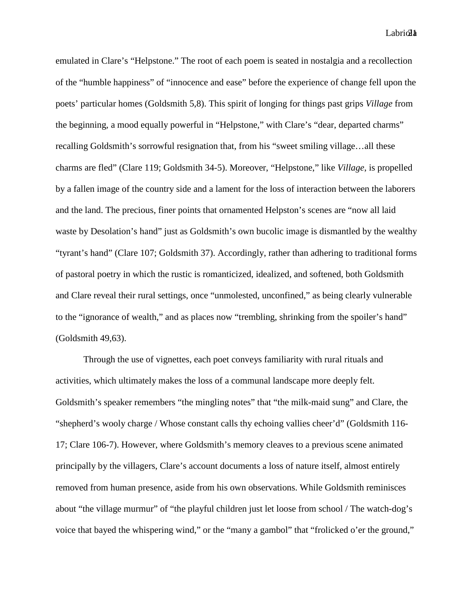$Labri\mathcal{A}$ 

emulated in Clare's "Helpstone." The root of each poem is seated in nostalgia and a recollection of the "humble happiness" of "innocence and ease" before the experience of change fell upon the poets' particular homes (Goldsmith 5,8). This spirit of longing for things past grips *Village* from the beginning, a mood equally powerful in "Helpstone," with Clare's "dear, departed charms" recalling Goldsmith's sorrowful resignation that, from his "sweet smiling village…all these charms are fled" (Clare 119; Goldsmith 34-5). Moreover, "Helpstone," like *Village*, is propelled by a fallen image of the country side and a lament for the loss of interaction between the laborers and the land. The precious, finer points that ornamented Helpston's scenes are "now all laid waste by Desolation's hand" just as Goldsmith's own bucolic image is dismantled by the wealthy "tyrant's hand" (Clare 107; Goldsmith 37). Accordingly, rather than adhering to traditional forms of pastoral poetry in which the rustic is romanticized, idealized, and softened, both Goldsmith and Clare reveal their rural settings, once "unmolested, unconfined," as being clearly vulnerable to the "ignorance of wealth," and as places now "trembling, shrinking from the spoiler's hand" (Goldsmith 49,63).

Through the use of vignettes, each poet conveys familiarity with rural rituals and activities, which ultimately makes the loss of a communal landscape more deeply felt. Goldsmith's speaker remembers "the mingling notes" that "the milk-maid sung" and Clare, the "shepherd's wooly charge / Whose constant calls thy echoing vallies cheer'd" (Goldsmith 116- 17; Clare 106-7). However, where Goldsmith's memory cleaves to a previous scene animated principally by the villagers, Clare's account documents a loss of nature itself, almost entirely removed from human presence, aside from his own observations. While Goldsmith reminisces about "the village murmur" of "the playful children just let loose from school / The watch-dog's voice that bayed the whispering wind," or the "many a gambol" that "frolicked o'er the ground,"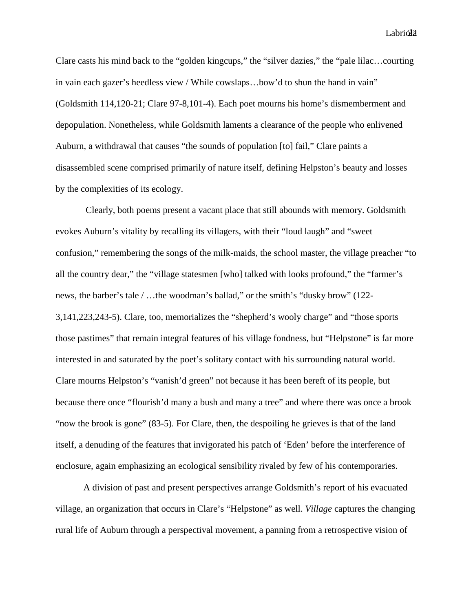$Labri@2$ 

Clare casts his mind back to the "golden kingcups," the "silver dazies," the "pale lilac…courting in vain each gazer's heedless view / While cowslaps…bow'd to shun the hand in vain" (Goldsmith 114,120-21; Clare 97-8,101-4). Each poet mourns his home's dismemberment and depopulation. Nonetheless, while Goldsmith laments a clearance of the people who enlivened Auburn, a withdrawal that causes "the sounds of population [to] fail," Clare paints a disassembled scene comprised primarily of nature itself, defining Helpston's beauty and losses by the complexities of its ecology.

Clearly, both poems present a vacant place that still abounds with memory. Goldsmith evokes Auburn's vitality by recalling its villagers, with their "loud laugh" and "sweet confusion," remembering the songs of the milk-maids, the school master, the village preacher "to all the country dear," the "village statesmen [who] talked with looks profound," the "farmer's news, the barber's tale / …the woodman's ballad," or the smith's "dusky brow" (122- 3,141,223,243-5). Clare, too, memorializes the "shepherd's wooly charge" and "those sports those pastimes" that remain integral features of his village fondness, but "Helpstone" is far more interested in and saturated by the poet's solitary contact with his surrounding natural world. Clare mourns Helpston's "vanish'd green" not because it has been bereft of its people, but because there once "flourish'd many a bush and many a tree" and where there was once a brook "now the brook is gone" (83-5). For Clare, then, the despoiling he grieves is that of the land itself, a denuding of the features that invigorated his patch of 'Eden' before the interference of enclosure, again emphasizing an ecological sensibility rivaled by few of his contemporaries.

A division of past and present perspectives arrange Goldsmith's report of his evacuated village, an organization that occurs in Clare's "Helpstone" as well. *Village* captures the changing rural life of Auburn through a perspectival movement, a panning from a retrospective vision of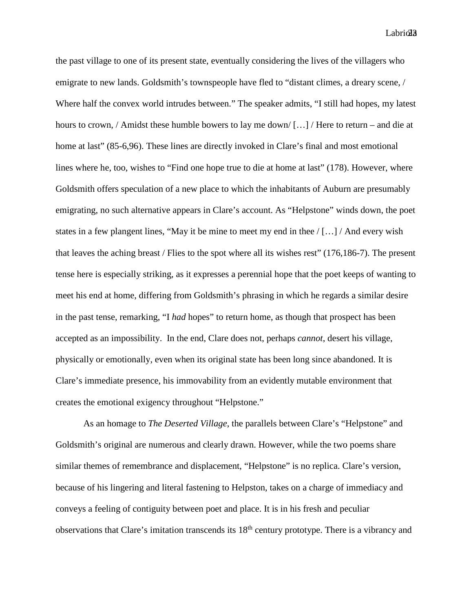$Labri $\partial \mathfrak{z}$$ 

the past village to one of its present state, eventually considering the lives of the villagers who emigrate to new lands. Goldsmith's townspeople have fled to "distant climes, a dreary scene, / Where half the convex world intrudes between." The speaker admits, "I still had hopes, my latest hours to crown, / Amidst these humble bowers to lay me down/ [...] / Here to return – and die at home at last" (85-6,96). These lines are directly invoked in Clare's final and most emotional lines where he, too, wishes to "Find one hope true to die at home at last" (178). However, where Goldsmith offers speculation of a new place to which the inhabitants of Auburn are presumably emigrating, no such alternative appears in Clare's account. As "Helpstone" winds down, the poet states in a few plangent lines, "May it be mine to meet my end in thee  $/[...]/$  And every wish that leaves the aching breast / Flies to the spot where all its wishes rest" (176,186-7). The present tense here is especially striking, as it expresses a perennial hope that the poet keeps of wanting to meet his end at home, differing from Goldsmith's phrasing in which he regards a similar desire in the past tense, remarking, "I *had* hopes" to return home, as though that prospect has been accepted as an impossibility. In the end, Clare does not, perhaps *cannot*, desert his village, physically or emotionally, even when its original state has been long since abandoned. It is Clare's immediate presence, his immovability from an evidently mutable environment that creates the emotional exigency throughout "Helpstone."

As an homage to *The Deserted Village*, the parallels between Clare's "Helpstone" and Goldsmith's original are numerous and clearly drawn. However, while the two poems share similar themes of remembrance and displacement, "Helpstone" is no replica. Clare's version, because of his lingering and literal fastening to Helpston, takes on a charge of immediacy and conveys a feeling of contiguity between poet and place. It is in his fresh and peculiar observations that Clare's imitation transcends its 18th century prototype. There is a vibrancy and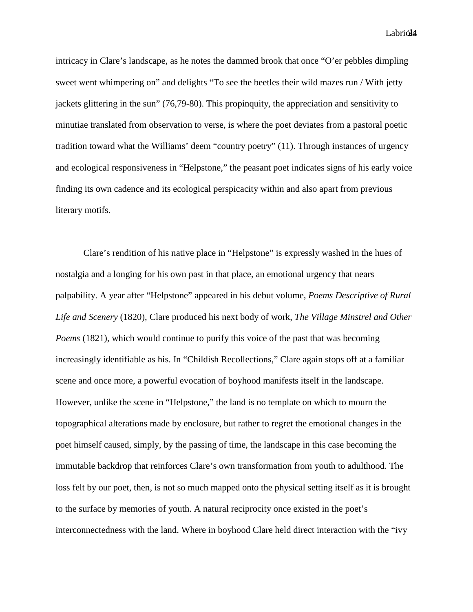Labriol4

intricacy in Clare's landscape, as he notes the dammed brook that once "O'er pebbles dimpling sweet went whimpering on" and delights "To see the beetles their wild mazes run / With jetty jackets glittering in the sun" (76,79-80). This propinquity, the appreciation and sensitivity to minutiae translated from observation to verse, is where the poet deviates from a pastoral poetic tradition toward what the Williams' deem "country poetry" (11). Through instances of urgency and ecological responsiveness in "Helpstone," the peasant poet indicates signs of his early voice finding its own cadence and its ecological perspicacity within and also apart from previous literary motifs.

Clare's rendition of his native place in "Helpstone" is expressly washed in the hues of nostalgia and a longing for his own past in that place, an emotional urgency that nears palpability. A year after "Helpstone" appeared in his debut volume, *Poems Descriptive of Rural Life and Scenery* (1820), Clare produced his next body of work, *The Village Minstrel and Other Poems* (1821), which would continue to purify this voice of the past that was becoming increasingly identifiable as his. In "Childish Recollections," Clare again stops off at a familiar scene and once more, a powerful evocation of boyhood manifests itself in the landscape. However, unlike the scene in "Helpstone," the land is no template on which to mourn the topographical alterations made by enclosure, but rather to regret the emotional changes in the poet himself caused, simply, by the passing of time, the landscape in this case becoming the immutable backdrop that reinforces Clare's own transformation from youth to adulthood. The loss felt by our poet, then, is not so much mapped onto the physical setting itself as it is brought to the surface by memories of youth. A natural reciprocity once existed in the poet's interconnectedness with the land. Where in boyhood Clare held direct interaction with the "ivy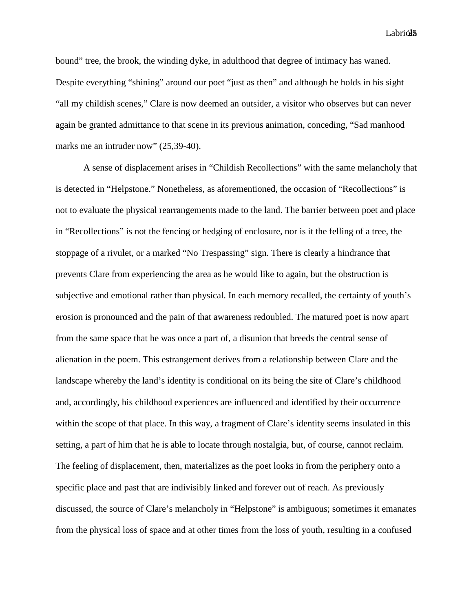$Labri**@5**$ 

bound" tree, the brook, the winding dyke, in adulthood that degree of intimacy has waned. Despite everything "shining" around our poet "just as then" and although he holds in his sight "all my childish scenes," Clare is now deemed an outsider, a visitor who observes but can never again be granted admittance to that scene in its previous animation, conceding, "Sad manhood marks me an intruder now"  $(25,39-40)$ .

A sense of displacement arises in "Childish Recollections" with the same melancholy that is detected in "Helpstone." Nonetheless, as aforementioned, the occasion of "Recollections" is not to evaluate the physical rearrangements made to the land. The barrier between poet and place in "Recollections" is not the fencing or hedging of enclosure, nor is it the felling of a tree, the stoppage of a rivulet, or a marked "No Trespassing" sign. There is clearly a hindrance that prevents Clare from experiencing the area as he would like to again, but the obstruction is subjective and emotional rather than physical. In each memory recalled, the certainty of youth's erosion is pronounced and the pain of that awareness redoubled. The matured poet is now apart from the same space that he was once a part of, a disunion that breeds the central sense of alienation in the poem. This estrangement derives from a relationship between Clare and the landscape whereby the land's identity is conditional on its being the site of Clare's childhood and, accordingly, his childhood experiences are influenced and identified by their occurrence within the scope of that place. In this way, a fragment of Clare's identity seems insulated in this setting, a part of him that he is able to locate through nostalgia, but, of course, cannot reclaim. The feeling of displacement, then, materializes as the poet looks in from the periphery onto a specific place and past that are indivisibly linked and forever out of reach. As previously discussed, the source of Clare's melancholy in "Helpstone" is ambiguous; sometimes it emanates from the physical loss of space and at other times from the loss of youth, resulting in a confused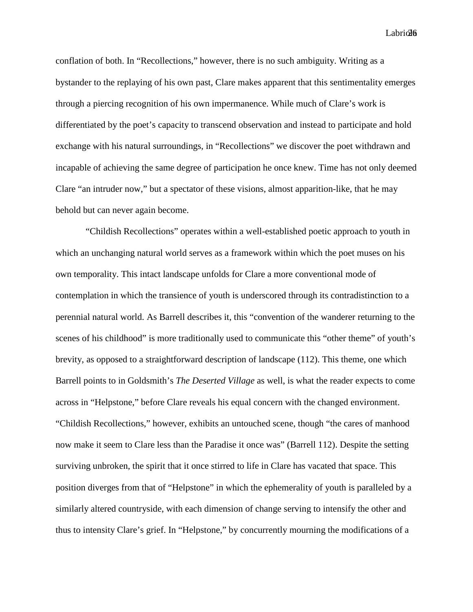$Labri@6$ 

conflation of both. In "Recollections," however, there is no such ambiguity. Writing as a bystander to the replaying of his own past, Clare makes apparent that this sentimentality emerges through a piercing recognition of his own impermanence. While much of Clare's work is differentiated by the poet's capacity to transcend observation and instead to participate and hold exchange with his natural surroundings, in "Recollections" we discover the poet withdrawn and incapable of achieving the same degree of participation he once knew. Time has not only deemed Clare "an intruder now," but a spectator of these visions, almost apparition-like, that he may behold but can never again become.

"Childish Recollections" operates within a well-established poetic approach to youth in which an unchanging natural world serves as a framework within which the poet muses on his own temporality. This intact landscape unfolds for Clare a more conventional mode of contemplation in which the transience of youth is underscored through its contradistinction to a perennial natural world. As Barrell describes it, this "convention of the wanderer returning to the scenes of his childhood" is more traditionally used to communicate this "other theme" of youth's brevity, as opposed to a straightforward description of landscape (112). This theme, one which Barrell points to in Goldsmith's *The Deserted Village* as well, is what the reader expects to come across in "Helpstone," before Clare reveals his equal concern with the changed environment. "Childish Recollections," however, exhibits an untouched scene, though "the cares of manhood now make it seem to Clare less than the Paradise it once was" (Barrell 112). Despite the setting surviving unbroken, the spirit that it once stirred to life in Clare has vacated that space. This position diverges from that of "Helpstone" in which the ephemerality of youth is paralleled by a similarly altered countryside, with each dimension of change serving to intensify the other and thus to intensity Clare's grief. In "Helpstone," by concurrently mourning the modifications of a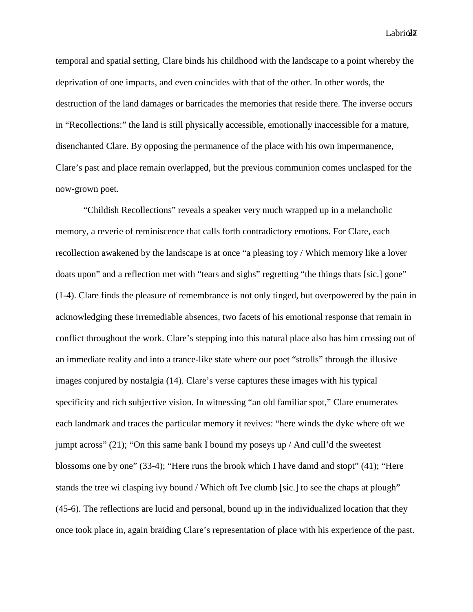$Labri@<sub>2</sub>$ 

temporal and spatial setting, Clare binds his childhood with the landscape to a point whereby the deprivation of one impacts, and even coincides with that of the other. In other words, the destruction of the land damages or barricades the memories that reside there. The inverse occurs in "Recollections:" the land is still physically accessible, emotionally inaccessible for a mature, disenchanted Clare. By opposing the permanence of the place with his own impermanence, Clare's past and place remain overlapped, but the previous communion comes unclasped for the now-grown poet.

"Childish Recollections" reveals a speaker very much wrapped up in a melancholic memory, a reverie of reminiscence that calls forth contradictory emotions. For Clare, each recollection awakened by the landscape is at once "a pleasing toy / Which memory like a lover doats upon" and a reflection met with "tears and sighs" regretting "the things thats [sic.] gone" (1-4). Clare finds the pleasure of remembrance is not only tinged, but overpowered by the pain in acknowledging these irremediable absences, two facets of his emotional response that remain in conflict throughout the work. Clare's stepping into this natural place also has him crossing out of an immediate reality and into a trance-like state where our poet "strolls" through the illusive images conjured by nostalgia (14). Clare's verse captures these images with his typical specificity and rich subjective vision. In witnessing "an old familiar spot," Clare enumerates each landmark and traces the particular memory it revives: "here winds the dyke where oft we jumpt across" (21); "On this same bank I bound my poseys up / And cull'd the sweetest blossoms one by one" (33-4); "Here runs the brook which I have damd and stopt" (41); "Here stands the tree wi clasping ivy bound / Which oft Ive clumb [sic.] to see the chaps at plough" (45-6). The reflections are lucid and personal, bound up in the individualized location that they once took place in, again braiding Clare's representation of place with his experience of the past.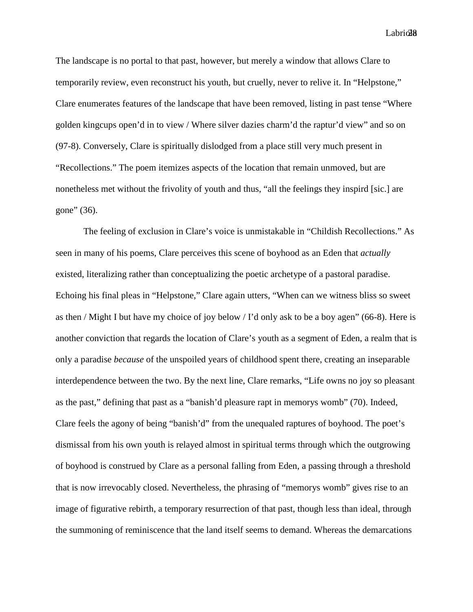$Labri@8$ 

The landscape is no portal to that past, however, but merely a window that allows Clare to temporarily review, even reconstruct his youth, but cruelly, never to relive it. In "Helpstone," Clare enumerates features of the landscape that have been removed, listing in past tense "Where golden kingcups open'd in to view / Where silver dazies charm'd the raptur'd view" and so on (97-8). Conversely, Clare is spiritually dislodged from a place still very much present in "Recollections." The poem itemizes aspects of the location that remain unmoved, but are nonetheless met without the frivolity of youth and thus, "all the feelings they inspird [sic.] are gone" (36).

The feeling of exclusion in Clare's voice is unmistakable in "Childish Recollections." As seen in many of his poems, Clare perceives this scene of boyhood as an Eden that *actually*  existed, literalizing rather than conceptualizing the poetic archetype of a pastoral paradise. Echoing his final pleas in "Helpstone," Clare again utters, "When can we witness bliss so sweet as then / Might I but have my choice of joy below / I'd only ask to be a boy agen" (66-8). Here is another conviction that regards the location of Clare's youth as a segment of Eden, a realm that is only a paradise *because* of the unspoiled years of childhood spent there, creating an inseparable interdependence between the two. By the next line, Clare remarks, "Life owns no joy so pleasant as the past," defining that past as a "banish'd pleasure rapt in memorys womb" (70). Indeed, Clare feels the agony of being "banish'd" from the unequaled raptures of boyhood. The poet's dismissal from his own youth is relayed almost in spiritual terms through which the outgrowing of boyhood is construed by Clare as a personal falling from Eden, a passing through a threshold that is now irrevocably closed. Nevertheless, the phrasing of "memorys womb" gives rise to an image of figurative rebirth, a temporary resurrection of that past, though less than ideal, through the summoning of reminiscence that the land itself seems to demand. Whereas the demarcations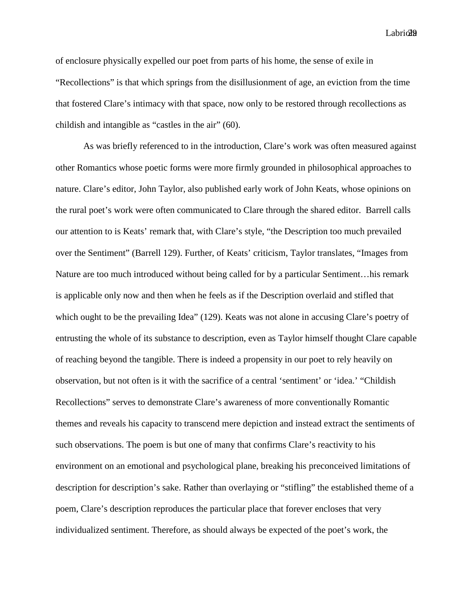$Labri@9$ 

of enclosure physically expelled our poet from parts of his home, the sense of exile in "Recollections" is that which springs from the disillusionment of age, an eviction from the time that fostered Clare's intimacy with that space, now only to be restored through recollections as childish and intangible as "castles in the air" (60).

As was briefly referenced to in the introduction, Clare's work was often measured against other Romantics whose poetic forms were more firmly grounded in philosophical approaches to nature. Clare's editor, John Taylor, also published early work of John Keats, whose opinions on the rural poet's work were often communicated to Clare through the shared editor. Barrell calls our attention to is Keats' remark that, with Clare's style, "the Description too much prevailed over the Sentiment" (Barrell 129). Further, of Keats' criticism, Taylor translates, "Images from Nature are too much introduced without being called for by a particular Sentiment…his remark is applicable only now and then when he feels as if the Description overlaid and stifled that which ought to be the prevailing Idea" (129). Keats was not alone in accusing Clare's poetry of entrusting the whole of its substance to description, even as Taylor himself thought Clare capable of reaching beyond the tangible. There is indeed a propensity in our poet to rely heavily on observation, but not often is it with the sacrifice of a central 'sentiment' or 'idea.' "Childish Recollections" serves to demonstrate Clare's awareness of more conventionally Romantic themes and reveals his capacity to transcend mere depiction and instead extract the sentiments of such observations. The poem is but one of many that confirms Clare's reactivity to his environment on an emotional and psychological plane, breaking his preconceived limitations of description for description's sake. Rather than overlaying or "stifling" the established theme of a poem, Clare's description reproduces the particular place that forever encloses that very individualized sentiment. Therefore, as should always be expected of the poet's work, the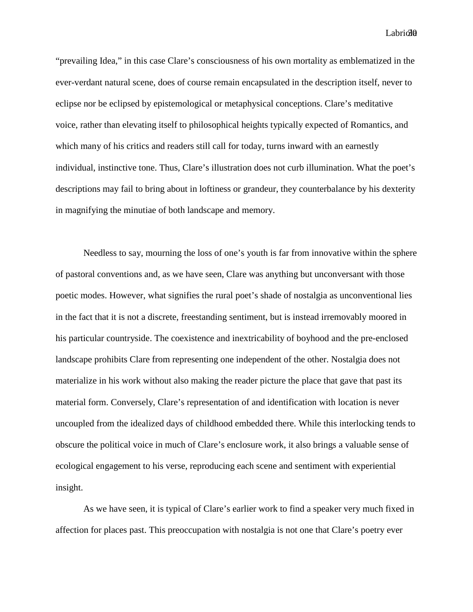$Labri $\partial\theta$$ 

"prevailing Idea," in this case Clare's consciousness of his own mortality as emblematized in the ever-verdant natural scene, does of course remain encapsulated in the description itself, never to eclipse nor be eclipsed by epistemological or metaphysical conceptions. Clare's meditative voice, rather than elevating itself to philosophical heights typically expected of Romantics, and which many of his critics and readers still call for today, turns inward with an earnestly individual, instinctive tone. Thus, Clare's illustration does not curb illumination. What the poet's descriptions may fail to bring about in loftiness or grandeur, they counterbalance by his dexterity in magnifying the minutiae of both landscape and memory.

Needless to say, mourning the loss of one's youth is far from innovative within the sphere of pastoral conventions and, as we have seen, Clare was anything but unconversant with those poetic modes. However, what signifies the rural poet's shade of nostalgia as unconventional lies in the fact that it is not a discrete, freestanding sentiment, but is instead irremovably moored in his particular countryside. The coexistence and inextricability of boyhood and the pre-enclosed landscape prohibits Clare from representing one independent of the other. Nostalgia does not materialize in his work without also making the reader picture the place that gave that past its material form. Conversely, Clare's representation of and identification with location is never uncoupled from the idealized days of childhood embedded there. While this interlocking tends to obscure the political voice in much of Clare's enclosure work, it also brings a valuable sense of ecological engagement to his verse, reproducing each scene and sentiment with experiential insight.

As we have seen, it is typical of Clare's earlier work to find a speaker very much fixed in affection for places past. This preoccupation with nostalgia is not one that Clare's poetry ever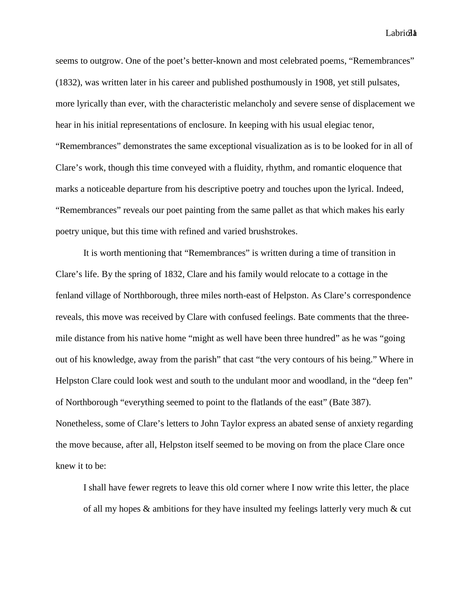Labriol<sup>1</sup>

seems to outgrow. One of the poet's better-known and most celebrated poems, "Remembrances" (1832), was written later in his career and published posthumously in 1908, yet still pulsates, more lyrically than ever, with the characteristic melancholy and severe sense of displacement we hear in his initial representations of enclosure. In keeping with his usual elegiac tenor, "Remembrances" demonstrates the same exceptional visualization as is to be looked for in all of Clare's work, though this time conveyed with a fluidity, rhythm, and romantic eloquence that marks a noticeable departure from his descriptive poetry and touches upon the lyrical. Indeed, "Remembrances" reveals our poet painting from the same pallet as that which makes his early poetry unique, but this time with refined and varied brushstrokes.

It is worth mentioning that "Remembrances" is written during a time of transition in Clare's life. By the spring of 1832, Clare and his family would relocate to a cottage in the fenland village of Northborough, three miles north-east of Helpston. As Clare's correspondence reveals, this move was received by Clare with confused feelings. Bate comments that the threemile distance from his native home "might as well have been three hundred" as he was "going out of his knowledge, away from the parish" that cast "the very contours of his being." Where in Helpston Clare could look west and south to the undulant moor and woodland, in the "deep fen" of Northborough "everything seemed to point to the flatlands of the east" (Bate 387). Nonetheless, some of Clare's letters to John Taylor express an abated sense of anxiety regarding the move because, after all, Helpston itself seemed to be moving on from the place Clare once knew it to be:

I shall have fewer regrets to leave this old corner where I now write this letter, the place of all my hopes & ambitions for they have insulted my feelings latterly very much & cut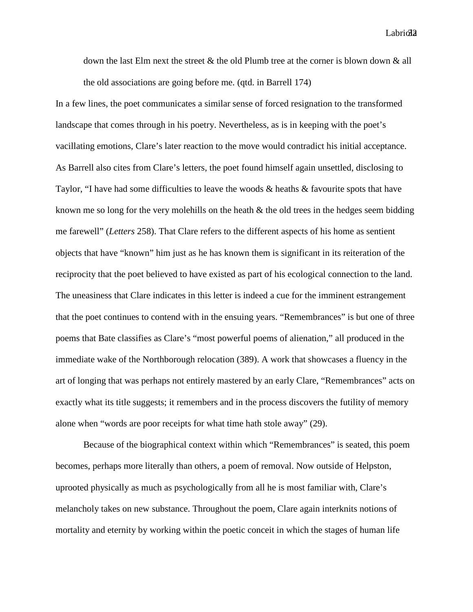Labriol<sub>3</sub>

down the last Elm next the street  $\&$  the old Plumb tree at the corner is blown down  $\&$  all the old associations are going before me. (qtd. in Barrell 174)

In a few lines, the poet communicates a similar sense of forced resignation to the transformed landscape that comes through in his poetry. Nevertheless, as is in keeping with the poet's vacillating emotions, Clare's later reaction to the move would contradict his initial acceptance. As Barrell also cites from Clare's letters, the poet found himself again unsettled, disclosing to Taylor, "I have had some difficulties to leave the woods & heaths & favourite spots that have known me so long for the very molehills on the heath  $\&$  the old trees in the hedges seem bidding me farewell" (*Letters* 258). That Clare refers to the different aspects of his home as sentient objects that have "known" him just as he has known them is significant in its reiteration of the reciprocity that the poet believed to have existed as part of his ecological connection to the land. The uneasiness that Clare indicates in this letter is indeed a cue for the imminent estrangement that the poet continues to contend with in the ensuing years. "Remembrances" is but one of three poems that Bate classifies as Clare's "most powerful poems of alienation," all produced in the immediate wake of the Northborough relocation (389). A work that showcases a fluency in the art of longing that was perhaps not entirely mastered by an early Clare, "Remembrances" acts on exactly what its title suggests; it remembers and in the process discovers the futility of memory alone when "words are poor receipts for what time hath stole away" (29).

Because of the biographical context within which "Remembrances" is seated, this poem becomes, perhaps more literally than others, a poem of removal. Now outside of Helpston, uprooted physically as much as psychologically from all he is most familiar with, Clare's melancholy takes on new substance. Throughout the poem, Clare again interknits notions of mortality and eternity by working within the poetic conceit in which the stages of human life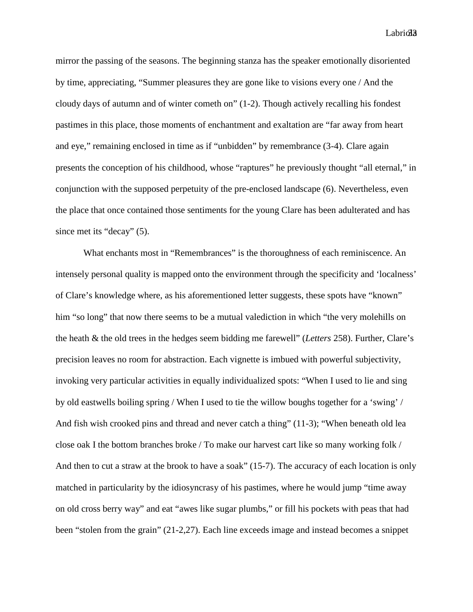Labriol<sup>3</sup>

mirror the passing of the seasons. The beginning stanza has the speaker emotionally disoriented by time, appreciating, "Summer pleasures they are gone like to visions every one / And the cloudy days of autumn and of winter cometh on" (1-2). Though actively recalling his fondest pastimes in this place, those moments of enchantment and exaltation are "far away from heart and eye," remaining enclosed in time as if "unbidden" by remembrance (3-4). Clare again presents the conception of his childhood, whose "raptures" he previously thought "all eternal," in conjunction with the supposed perpetuity of the pre-enclosed landscape (6). Nevertheless, even the place that once contained those sentiments for the young Clare has been adulterated and has since met its "decay" (5).

What enchants most in "Remembrances" is the thoroughness of each reminiscence. An intensely personal quality is mapped onto the environment through the specificity and 'localness' of Clare's knowledge where, as his aforementioned letter suggests, these spots have "known" him "so long" that now there seems to be a mutual valediction in which "the very molehills on the heath & the old trees in the hedges seem bidding me farewell" (*Letters* 258). Further, Clare's precision leaves no room for abstraction. Each vignette is imbued with powerful subjectivity, invoking very particular activities in equally individualized spots: "When I used to lie and sing by old eastwells boiling spring / When I used to tie the willow boughs together for a 'swing' / And fish wish crooked pins and thread and never catch a thing" (11-3); "When beneath old lea close oak I the bottom branches broke / To make our harvest cart like so many working folk / And then to cut a straw at the brook to have a soak" (15-7). The accuracy of each location is only matched in particularity by the idiosyncrasy of his pastimes, where he would jump "time away on old cross berry way" and eat "awes like sugar plumbs," or fill his pockets with peas that had been "stolen from the grain" (21-2,27). Each line exceeds image and instead becomes a snippet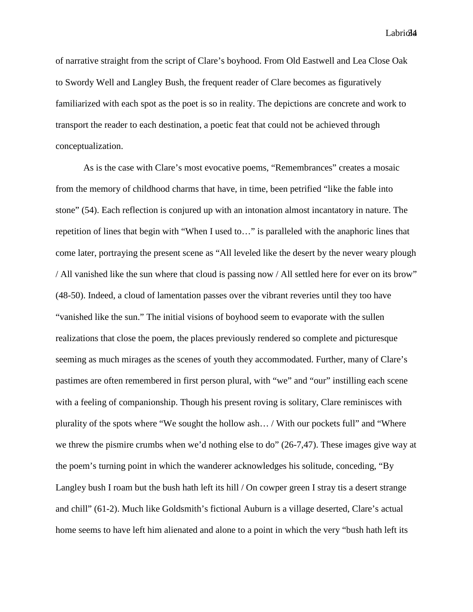Labriol4

of narrative straight from the script of Clare's boyhood. From Old Eastwell and Lea Close Oak to Swordy Well and Langley Bush, the frequent reader of Clare becomes as figuratively familiarized with each spot as the poet is so in reality. The depictions are concrete and work to transport the reader to each destination, a poetic feat that could not be achieved through conceptualization.

As is the case with Clare's most evocative poems, "Remembrances" creates a mosaic from the memory of childhood charms that have, in time, been petrified "like the fable into stone" (54). Each reflection is conjured up with an intonation almost incantatory in nature. The repetition of lines that begin with "When I used to…" is paralleled with the anaphoric lines that come later, portraying the present scene as "All leveled like the desert by the never weary plough / All vanished like the sun where that cloud is passing now / All settled here for ever on its brow" (48-50). Indeed, a cloud of lamentation passes over the vibrant reveries until they too have "vanished like the sun." The initial visions of boyhood seem to evaporate with the sullen realizations that close the poem, the places previously rendered so complete and picturesque seeming as much mirages as the scenes of youth they accommodated. Further, many of Clare's pastimes are often remembered in first person plural, with "we" and "our" instilling each scene with a feeling of companionship. Though his present roving is solitary, Clare reminisces with plurality of the spots where "We sought the hollow ash… / With our pockets full" and "Where we threw the pismire crumbs when we'd nothing else to do" (26-7,47). These images give way at the poem's turning point in which the wanderer acknowledges his solitude, conceding, "By Langley bush I roam but the bush hath left its hill / On cowper green I stray tis a desert strange and chill" (61-2). Much like Goldsmith's fictional Auburn is a village deserted, Clare's actual home seems to have left him alienated and alone to a point in which the very "bush hath left its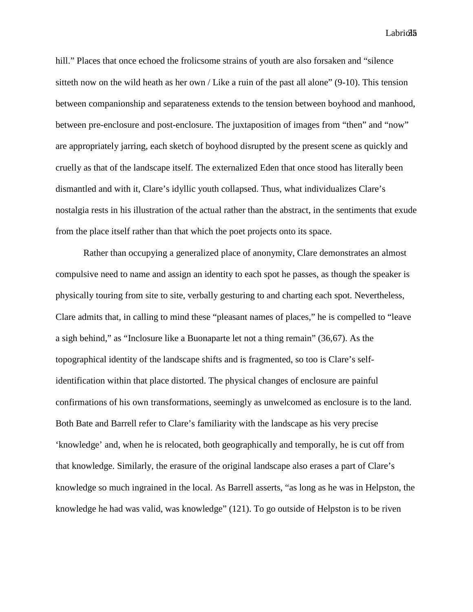$Labri $\partial 5$$ 

hill." Places that once echoed the frolicsome strains of youth are also forsaken and "silence" sitteth now on the wild heath as her own / Like a ruin of the past all alone"  $(9-10)$ . This tension between companionship and separateness extends to the tension between boyhood and manhood, between pre-enclosure and post-enclosure. The juxtaposition of images from "then" and "now" are appropriately jarring, each sketch of boyhood disrupted by the present scene as quickly and cruelly as that of the landscape itself. The externalized Eden that once stood has literally been dismantled and with it, Clare's idyllic youth collapsed. Thus, what individualizes Clare's nostalgia rests in his illustration of the actual rather than the abstract, in the sentiments that exude from the place itself rather than that which the poet projects onto its space.

Rather than occupying a generalized place of anonymity, Clare demonstrates an almost compulsive need to name and assign an identity to each spot he passes, as though the speaker is physically touring from site to site, verbally gesturing to and charting each spot. Nevertheless, Clare admits that, in calling to mind these "pleasant names of places," he is compelled to "leave a sigh behind," as "Inclosure like a Buonaparte let not a thing remain" (36,67). As the topographical identity of the landscape shifts and is fragmented, so too is Clare's selfidentification within that place distorted. The physical changes of enclosure are painful confirmations of his own transformations, seemingly as unwelcomed as enclosure is to the land. Both Bate and Barrell refer to Clare's familiarity with the landscape as his very precise 'knowledge' and, when he is relocated, both geographically and temporally, he is cut off from that knowledge. Similarly, the erasure of the original landscape also erases a part of Clare's knowledge so much ingrained in the local. As Barrell asserts, "as long as he was in Helpston, the knowledge he had was valid, was knowledge" (121). To go outside of Helpston is to be riven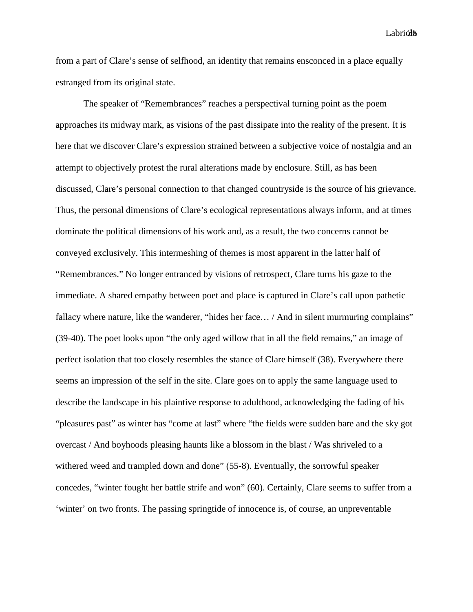$Labri\delta\delta$ 

from a part of Clare's sense of selfhood, an identity that remains ensconced in a place equally estranged from its original state.

The speaker of "Remembrances" reaches a perspectival turning point as the poem approaches its midway mark, as visions of the past dissipate into the reality of the present. It is here that we discover Clare's expression strained between a subjective voice of nostalgia and an attempt to objectively protest the rural alterations made by enclosure. Still, as has been discussed, Clare's personal connection to that changed countryside is the source of his grievance. Thus, the personal dimensions of Clare's ecological representations always inform, and at times dominate the political dimensions of his work and, as a result, the two concerns cannot be conveyed exclusively. This intermeshing of themes is most apparent in the latter half of "Remembrances." No longer entranced by visions of retrospect, Clare turns his gaze to the immediate. A shared empathy between poet and place is captured in Clare's call upon pathetic fallacy where nature, like the wanderer, "hides her face... / And in silent murmuring complains" (39-40). The poet looks upon "the only aged willow that in all the field remains," an image of perfect isolation that too closely resembles the stance of Clare himself (38). Everywhere there seems an impression of the self in the site. Clare goes on to apply the same language used to describe the landscape in his plaintive response to adulthood, acknowledging the fading of his "pleasures past" as winter has "come at last" where "the fields were sudden bare and the sky got overcast / And boyhoods pleasing haunts like a blossom in the blast / Was shriveled to a withered weed and trampled down and done" (55-8). Eventually, the sorrowful speaker concedes, "winter fought her battle strife and won" (60). Certainly, Clare seems to suffer from a 'winter' on two fronts. The passing springtide of innocence is, of course, an unpreventable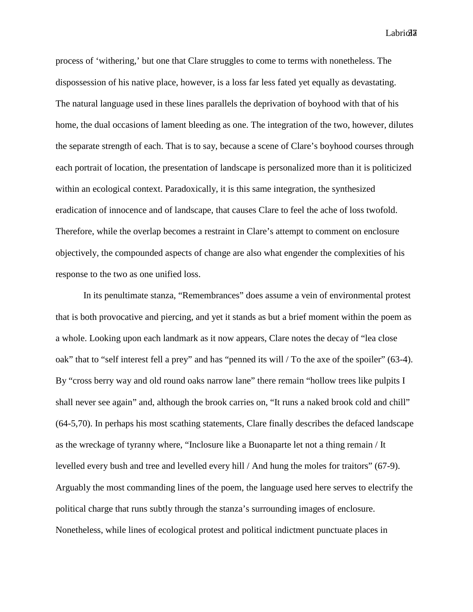Labriola<sup>3</sup>

process of 'withering,' but one that Clare struggles to come to terms with nonetheless. The dispossession of his native place, however, is a loss far less fated yet equally as devastating. The natural language used in these lines parallels the deprivation of boyhood with that of his home, the dual occasions of lament bleeding as one. The integration of the two, however, dilutes the separate strength of each. That is to say, because a scene of Clare's boyhood courses through each portrait of location, the presentation of landscape is personalized more than it is politicized within an ecological context. Paradoxically, it is this same integration, the synthesized eradication of innocence and of landscape, that causes Clare to feel the ache of loss twofold. Therefore, while the overlap becomes a restraint in Clare's attempt to comment on enclosure objectively, the compounded aspects of change are also what engender the complexities of his response to the two as one unified loss.

In its penultimate stanza, "Remembrances" does assume a vein of environmental protest that is both provocative and piercing, and yet it stands as but a brief moment within the poem as a whole. Looking upon each landmark as it now appears, Clare notes the decay of "lea close oak" that to "self interest fell a prey" and has "penned its will / To the axe of the spoiler" (63-4). By "cross berry way and old round oaks narrow lane" there remain "hollow trees like pulpits I shall never see again" and, although the brook carries on, "It runs a naked brook cold and chill" (64-5,70). In perhaps his most scathing statements, Clare finally describes the defaced landscape as the wreckage of tyranny where, "Inclosure like a Buonaparte let not a thing remain / It levelled every bush and tree and levelled every hill / And hung the moles for traitors" (67-9). Arguably the most commanding lines of the poem, the language used here serves to electrify the political charge that runs subtly through the stanza's surrounding images of enclosure. Nonetheless, while lines of ecological protest and political indictment punctuate places in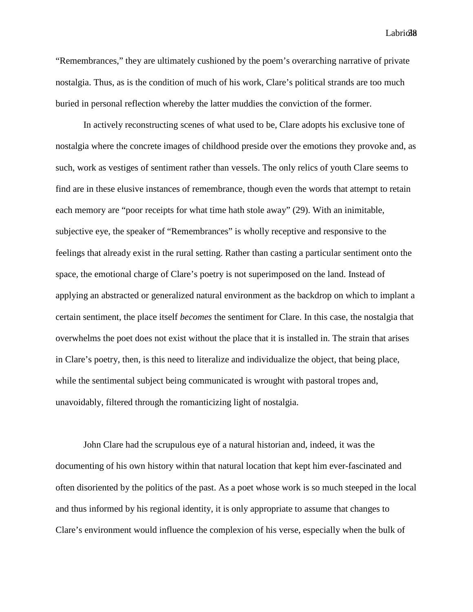Labriol<sub>8</sub>

"Remembrances," they are ultimately cushioned by the poem's overarching narrative of private nostalgia. Thus, as is the condition of much of his work, Clare's political strands are too much buried in personal reflection whereby the latter muddies the conviction of the former.

In actively reconstructing scenes of what used to be, Clare adopts his exclusive tone of nostalgia where the concrete images of childhood preside over the emotions they provoke and, as such, work as vestiges of sentiment rather than vessels. The only relics of youth Clare seems to find are in these elusive instances of remembrance, though even the words that attempt to retain each memory are "poor receipts for what time hath stole away" (29). With an inimitable, subjective eye, the speaker of "Remembrances" is wholly receptive and responsive to the feelings that already exist in the rural setting. Rather than casting a particular sentiment onto the space, the emotional charge of Clare's poetry is not superimposed on the land. Instead of applying an abstracted or generalized natural environment as the backdrop on which to implant a certain sentiment, the place itself *becomes* the sentiment for Clare. In this case, the nostalgia that overwhelms the poet does not exist without the place that it is installed in. The strain that arises in Clare's poetry, then, is this need to literalize and individualize the object, that being place, while the sentimental subject being communicated is wrought with pastoral tropes and, unavoidably, filtered through the romanticizing light of nostalgia.

John Clare had the scrupulous eye of a natural historian and, indeed, it was the documenting of his own history within that natural location that kept him ever-fascinated and often disoriented by the politics of the past. As a poet whose work is so much steeped in the local and thus informed by his regional identity, it is only appropriate to assume that changes to Clare's environment would influence the complexion of his verse, especially when the bulk of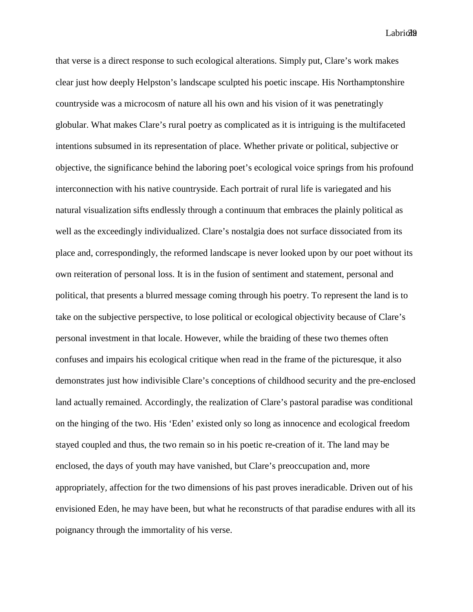Labriol9

that verse is a direct response to such ecological alterations. Simply put, Clare's work makes clear just how deeply Helpston's landscape sculpted his poetic inscape. His Northamptonshire countryside was a microcosm of nature all his own and his vision of it was penetratingly globular. What makes Clare's rural poetry as complicated as it is intriguing is the multifaceted intentions subsumed in its representation of place. Whether private or political, subjective or objective, the significance behind the laboring poet's ecological voice springs from his profound interconnection with his native countryside. Each portrait of rural life is variegated and his natural visualization sifts endlessly through a continuum that embraces the plainly political as well as the exceedingly individualized. Clare's nostalgia does not surface dissociated from its place and, correspondingly, the reformed landscape is never looked upon by our poet without its own reiteration of personal loss. It is in the fusion of sentiment and statement, personal and political, that presents a blurred message coming through his poetry. To represent the land is to take on the subjective perspective, to lose political or ecological objectivity because of Clare's personal investment in that locale. However, while the braiding of these two themes often confuses and impairs his ecological critique when read in the frame of the picturesque, it also demonstrates just how indivisible Clare's conceptions of childhood security and the pre-enclosed land actually remained. Accordingly, the realization of Clare's pastoral paradise was conditional on the hinging of the two. His 'Eden' existed only so long as innocence and ecological freedom stayed coupled and thus, the two remain so in his poetic re-creation of it. The land may be enclosed, the days of youth may have vanished, but Clare's preoccupation and, more appropriately, affection for the two dimensions of his past proves ineradicable. Driven out of his envisioned Eden, he may have been, but what he reconstructs of that paradise endures with all its poignancy through the immortality of his verse.